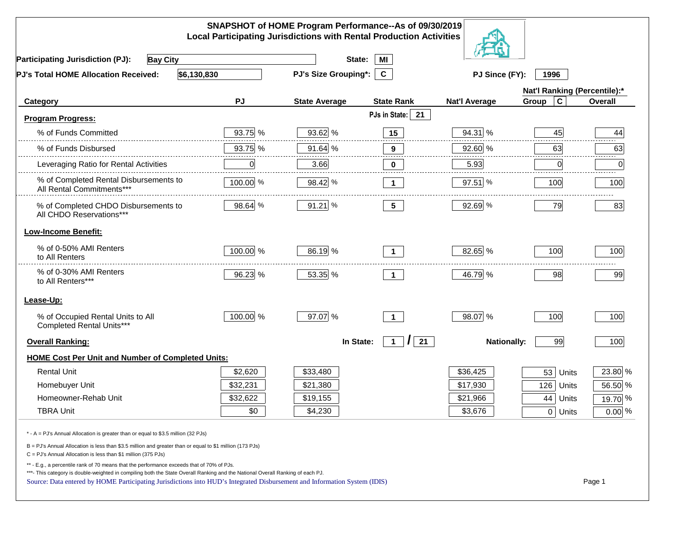|                                                                                                                                                                                                                                                                                                                                                          |             | SNAPSHOT of HOME Program Performance--As of 09/30/2019<br><b>Local Participating Jurisdictions with Rental Production Activities</b> |                               |                      |                              |                |
|----------------------------------------------------------------------------------------------------------------------------------------------------------------------------------------------------------------------------------------------------------------------------------------------------------------------------------------------------------|-------------|--------------------------------------------------------------------------------------------------------------------------------------|-------------------------------|----------------------|------------------------------|----------------|
| <b>Participating Jurisdiction (PJ):</b><br><b>Bay City</b>                                                                                                                                                                                                                                                                                               |             | State:                                                                                                                               | MI                            |                      |                              |                |
| \$6,130,830<br>PJ's Total HOME Allocation Received:                                                                                                                                                                                                                                                                                                      |             | PJ's Size Grouping*:                                                                                                                 | $\mathbf{c}$                  | PJ Since (FY):       | 1996                         |                |
|                                                                                                                                                                                                                                                                                                                                                          |             |                                                                                                                                      |                               |                      | Nat'l Ranking (Percentile):* |                |
| Category                                                                                                                                                                                                                                                                                                                                                 | PJ          | <b>State Average</b>                                                                                                                 | <b>State Rank</b>             | <b>Nat'l Average</b> | $\mathbf c$<br>Group         | <b>Overall</b> |
| <b>Program Progress:</b>                                                                                                                                                                                                                                                                                                                                 |             |                                                                                                                                      | PJs in State:<br>21           |                      |                              |                |
| % of Funds Committed                                                                                                                                                                                                                                                                                                                                     | 93.75 %     | 93.62 %                                                                                                                              | 15                            | 94.31 %              | 45                           | 44             |
| % of Funds Disbursed                                                                                                                                                                                                                                                                                                                                     | 93.75 %     | 91.64 %                                                                                                                              | $\bf{9}$                      | 92.60 %              | 63                           | 63             |
| Leveraging Ratio for Rental Activities                                                                                                                                                                                                                                                                                                                   | $\mathbf 0$ | 3.66                                                                                                                                 | 0                             | 5.93                 | 0                            | .<br>0         |
| % of Completed Rental Disbursements to<br>All Rental Commitments***                                                                                                                                                                                                                                                                                      | 100.00 %    | 98.42 %                                                                                                                              | $\mathbf 1$                   | $97.51$ %            | 100                          | 100            |
| % of Completed CHDO Disbursements to<br>All CHDO Reservations***                                                                                                                                                                                                                                                                                         | 98.64 %     | 91.21 %                                                                                                                              | 5 <sub>5</sub>                | 92.69 %              | 79                           | 83             |
| <b>Low-Income Benefit:</b>                                                                                                                                                                                                                                                                                                                               |             |                                                                                                                                      |                               |                      |                              |                |
| % of 0-50% AMI Renters<br>to All Renters                                                                                                                                                                                                                                                                                                                 | 100.00 %    | 86.19 %                                                                                                                              | $\mathbf 1$                   | 82.65 %              | 100                          | 100            |
| % of 0-30% AMI Renters<br>to All Renters***                                                                                                                                                                                                                                                                                                              | 96.23 %     | 53.35 %                                                                                                                              | $\mathbf 1$                   | 46.79 %              | 98                           | 99             |
| Lease-Up:                                                                                                                                                                                                                                                                                                                                                |             |                                                                                                                                      |                               |                      |                              |                |
| % of Occupied Rental Units to All<br>Completed Rental Units***                                                                                                                                                                                                                                                                                           | 100.00 %    | 97.07 %                                                                                                                              | $\mathbf{1}$                  | 98.07 %              | 100                          | 100            |
| <b>Overall Ranking:</b>                                                                                                                                                                                                                                                                                                                                  |             | In State:                                                                                                                            | 21<br>$\prime$<br>$\mathbf 1$ | <b>Nationally:</b>   | 99                           | 100            |
| <b>HOME Cost Per Unit and Number of Completed Units:</b>                                                                                                                                                                                                                                                                                                 |             |                                                                                                                                      |                               |                      |                              |                |
| <b>Rental Unit</b>                                                                                                                                                                                                                                                                                                                                       | \$2,620     | \$33,480                                                                                                                             |                               | \$36,425             | 53<br>Units                  | 23.80 %        |
| Homebuyer Unit                                                                                                                                                                                                                                                                                                                                           | \$32,231    | \$21,380                                                                                                                             |                               | \$17,930             | 126<br>Units                 | 56.50 %        |
| Homeowner-Rehab Unit                                                                                                                                                                                                                                                                                                                                     | \$32,622    | \$19,155                                                                                                                             |                               | \$21,966             | 44<br>Units                  | 19.70 %        |
| <b>TBRA Unit</b>                                                                                                                                                                                                                                                                                                                                         | \$0         | \$4,230                                                                                                                              |                               | \$3,676              | 0 Units                      | $0.00\%$       |
| * - A = PJ's Annual Allocation is greater than or equal to \$3.5 million (32 PJs)                                                                                                                                                                                                                                                                        |             |                                                                                                                                      |                               |                      |                              |                |
| B = PJ's Annual Allocation is less than \$3.5 million and greater than or equal to \$1 million (173 PJs)<br>$C = PJ's$ Annual Allocation is less than \$1 million (375 PJs)                                                                                                                                                                              |             |                                                                                                                                      |                               |                      |                              |                |
| ** - E.g., a percentile rank of 70 means that the performance exceeds that of 70% of PJs.<br>***- This category is double-weighted in compiling both the State Overall Ranking and the National Overall Ranking of each PJ.<br>Source: Data entered by HOME Participating Jurisdictions into HUD's Integrated Disbursement and Information System (IDIS) |             |                                                                                                                                      |                               |                      |                              | Page 1         |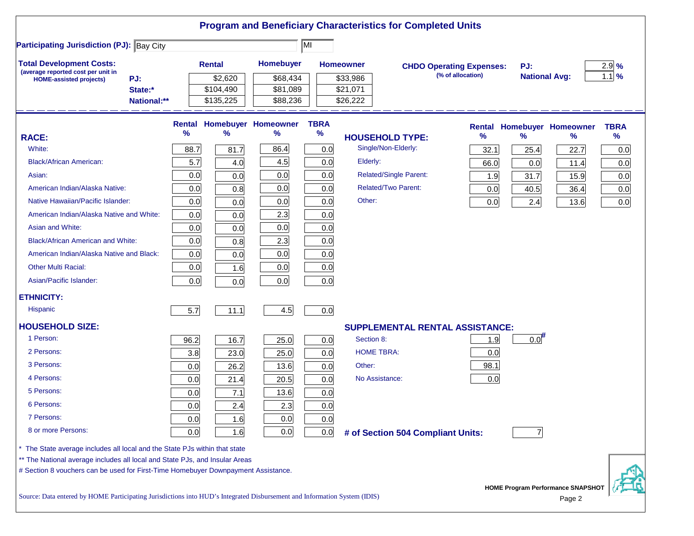|                                                                                                                           |                        |               |                        |                                   |             |                      | <b>Program and Beneficiary Characteristics for Completed Units</b> |                   |                      |                                          |             |
|---------------------------------------------------------------------------------------------------------------------------|------------------------|---------------|------------------------|-----------------------------------|-------------|----------------------|--------------------------------------------------------------------|-------------------|----------------------|------------------------------------------|-------------|
| <b>Participating Jurisdiction (PJ): Bay City</b>                                                                          |                        |               |                        |                                   | MI          |                      |                                                                    |                   |                      |                                          |             |
| <b>Total Development Costs:</b><br>(average reported cost per unit in                                                     |                        |               | <b>Rental</b>          | <b>Homebuyer</b>                  |             | <b>Homeowner</b>     | <b>CHDO Operating Expenses:</b>                                    |                   | PJ:                  |                                          | 2.9%        |
| PJ:<br><b>HOME-assisted projects)</b>                                                                                     |                        |               | \$2,620                | \$68,434                          |             | \$33,986             |                                                                    | (% of allocation) | <b>National Avg:</b> |                                          | $1.1$ %     |
|                                                                                                                           | State:*<br>National:** |               | \$104,490<br>\$135,225 | \$81,089<br>\$88,236              |             | \$21,071<br>\$26,222 |                                                                    |                   |                      |                                          |             |
|                                                                                                                           |                        |               |                        |                                   |             |                      |                                                                    |                   |                      |                                          |             |
|                                                                                                                           |                        |               |                        | <b>Rental Homebuyer Homeowner</b> | <b>TBRA</b> |                      |                                                                    |                   |                      | <b>Rental Homebuyer Homeowner</b>        | <b>TBRA</b> |
| <b>RACE:</b>                                                                                                              |                        | $\frac{9}{6}$ | $\frac{9}{6}$          | %                                 | $\%$        |                      | <b>HOUSEHOLD TYPE:</b>                                             | %                 | $\frac{9}{6}$        | $\%$                                     | $\%$        |
| White:                                                                                                                    |                        | 88.7          | 81.7                   | 86.4                              | 0.0         |                      | Single/Non-Elderly:                                                | 32.1              | 25.4                 | 22.7                                     | 0.0         |
| <b>Black/African American:</b>                                                                                            |                        | 5.7           | 4.0                    | 4.5                               | 0.0         | Elderly:             |                                                                    | 66.0              | 0.0                  | 11.4                                     | 0.0         |
| Asian:                                                                                                                    |                        | 0.0           | 0.0                    | 0.0                               | 0.0         |                      | Related/Single Parent:                                             | 1.9               | 31.7                 | 15.9                                     | 0.0         |
| American Indian/Alaska Native:                                                                                            |                        | 0.0           | 0.8                    | 0.0                               | 0.0         |                      | <b>Related/Two Parent:</b>                                         | 0.0               | 40.5                 | 36.4                                     | 0.0         |
| Native Hawaiian/Pacific Islander:                                                                                         |                        | 0.0           | 0.0                    | 0.0                               | 0.0         | Other:               |                                                                    | 0.0               | 2.4                  | 13.6                                     | 0.0         |
| American Indian/Alaska Native and White:                                                                                  |                        | 0.0           | 0.0                    | 2.3                               | 0.0         |                      |                                                                    |                   |                      |                                          |             |
| Asian and White:                                                                                                          |                        | 0.0           | 0.0                    | 0.0                               | 0.0         |                      |                                                                    |                   |                      |                                          |             |
| <b>Black/African American and White:</b>                                                                                  |                        | 0.0           | 0.8                    | 2.3                               | 0.0         |                      |                                                                    |                   |                      |                                          |             |
| American Indian/Alaska Native and Black:                                                                                  |                        | 0.0           | 0.0                    | 0.0                               | 0.0         |                      |                                                                    |                   |                      |                                          |             |
| <b>Other Multi Racial:</b>                                                                                                |                        | 0.0           | 1.6                    | 0.0                               | 0.0         |                      |                                                                    |                   |                      |                                          |             |
| Asian/Pacific Islander:                                                                                                   |                        | 0.0           | 0.0                    | 0.0                               | 0.0         |                      |                                                                    |                   |                      |                                          |             |
| <b>ETHNICITY:</b>                                                                                                         |                        |               |                        |                                   |             |                      |                                                                    |                   |                      |                                          |             |
| <b>Hispanic</b>                                                                                                           |                        | 5.7           | 11.1                   | 4.5                               | 0.0         |                      |                                                                    |                   |                      |                                          |             |
| <b>HOUSEHOLD SIZE:</b>                                                                                                    |                        |               |                        |                                   |             |                      | <b>SUPPLEMENTAL RENTAL ASSISTANCE:</b>                             |                   |                      |                                          |             |
| 1 Person:                                                                                                                 |                        | 96.2          | 16.7                   | 25.0                              | 0.0         | Section 8:           |                                                                    | 1.9               | 0.0                  |                                          |             |
| 2 Persons:                                                                                                                |                        | 3.8           | 23.0                   | 25.0                              | 0.0         |                      | <b>HOME TBRA:</b>                                                  | 0.0               |                      |                                          |             |
| 3 Persons:                                                                                                                |                        | 0.0           | 26.2                   | 13.6                              | 0.0         | Other:               |                                                                    | 98.1              |                      |                                          |             |
| 4 Persons:                                                                                                                |                        | 0.0           | 21.4                   | 20.5                              | 0.0         |                      | No Assistance:                                                     | 0.0               |                      |                                          |             |
| 5 Persons:                                                                                                                |                        | 0.0           | 7.1                    | 13.6                              | 0.0         |                      |                                                                    |                   |                      |                                          |             |
| 6 Persons:                                                                                                                |                        | 0.0           | 2.4                    | 2.3                               | 0.0         |                      |                                                                    |                   |                      |                                          |             |
| 7 Persons:                                                                                                                |                        | 0.0           | 1.6                    | 0.0                               | 0.0         |                      |                                                                    |                   |                      |                                          |             |
| 8 or more Persons:                                                                                                        |                        | 0.0           | 1.6                    | 0.0                               | 0.0         |                      | # of Section 504 Compliant Units:                                  |                   |                      |                                          |             |
| * The State average includes all local and the State PJs within that state                                                |                        |               |                        |                                   |             |                      |                                                                    |                   |                      |                                          |             |
| ** The National average includes all local and State PJs, and Insular Areas                                               |                        |               |                        |                                   |             |                      |                                                                    |                   |                      |                                          |             |
| # Section 8 vouchers can be used for First-Time Homebuyer Downpayment Assistance.                                         |                        |               |                        |                                   |             |                      |                                                                    |                   |                      |                                          |             |
| Source: Data entered by HOME Participating Jurisdictions into HUD's Integrated Disbursement and Information System (IDIS) |                        |               |                        |                                   |             |                      |                                                                    |                   |                      | <b>HOME Program Performance SNAPSHOT</b> |             |
|                                                                                                                           |                        |               |                        |                                   |             |                      |                                                                    |                   |                      | Page 2                                   |             |